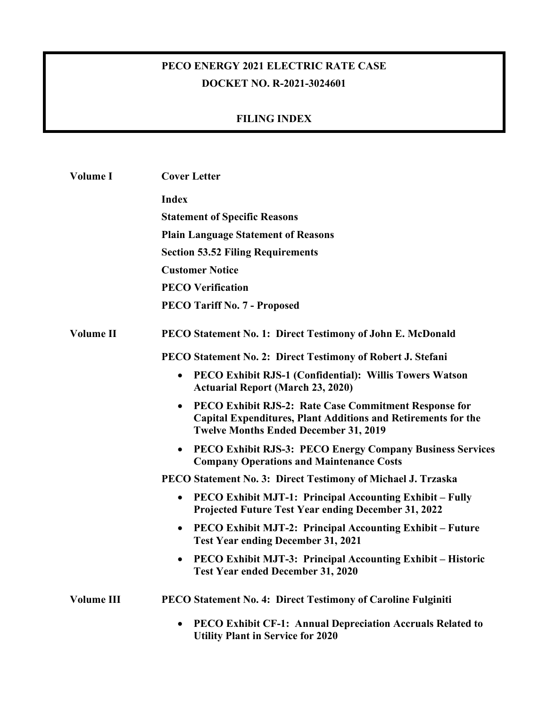## **PECO ENERGY 2021 ELECTRIC RATE CASE DOCKET NO. R-2021-3024601**

## **FILING INDEX**

| Volume I          | <b>Cover Letter</b>                                                                                                                                                                        |
|-------------------|--------------------------------------------------------------------------------------------------------------------------------------------------------------------------------------------|
|                   | <b>Index</b>                                                                                                                                                                               |
|                   | <b>Statement of Specific Reasons</b>                                                                                                                                                       |
|                   | <b>Plain Language Statement of Reasons</b>                                                                                                                                                 |
|                   | <b>Section 53.52 Filing Requirements</b>                                                                                                                                                   |
|                   | <b>Customer Notice</b>                                                                                                                                                                     |
|                   | <b>PECO Verification</b>                                                                                                                                                                   |
|                   | <b>PECO Tariff No. 7 - Proposed</b>                                                                                                                                                        |
| <b>Volume II</b>  | PECO Statement No. 1: Direct Testimony of John E. McDonald                                                                                                                                 |
|                   | PECO Statement No. 2: Direct Testimony of Robert J. Stefani                                                                                                                                |
|                   | PECO Exhibit RJS-1 (Confidential): Willis Towers Watson<br>$\bullet$<br><b>Actuarial Report (March 23, 2020)</b>                                                                           |
|                   | PECO Exhibit RJS-2: Rate Case Commitment Response for<br>$\bullet$<br><b>Capital Expenditures, Plant Additions and Retirements for the</b><br><b>Twelve Months Ended December 31, 2019</b> |
|                   | PECO Exhibit RJS-3: PECO Energy Company Business Services<br>$\bullet$<br><b>Company Operations and Maintenance Costs</b>                                                                  |
|                   | PECO Statement No. 3: Direct Testimony of Michael J. Trzaska                                                                                                                               |
|                   | PECO Exhibit MJT-1: Principal Accounting Exhibit – Fully<br>$\bullet$<br>Projected Future Test Year ending December 31, 2022                                                               |
|                   | PECO Exhibit MJT-2: Principal Accounting Exhibit – Future<br>$\bullet$<br><b>Test Year ending December 31, 2021</b>                                                                        |
|                   | <b>PECO Exhibit MJT-3: Principal Accounting Exhibit – Historic</b><br><b>Test Year ended December 31, 2020</b>                                                                             |
| <b>Volume III</b> | PECO Statement No. 4: Direct Testimony of Caroline Fulginiti                                                                                                                               |
|                   | PECO Exhibit CF-1: Annual Depreciation Accruals Related to<br><b>Utility Plant in Service for 2020</b>                                                                                     |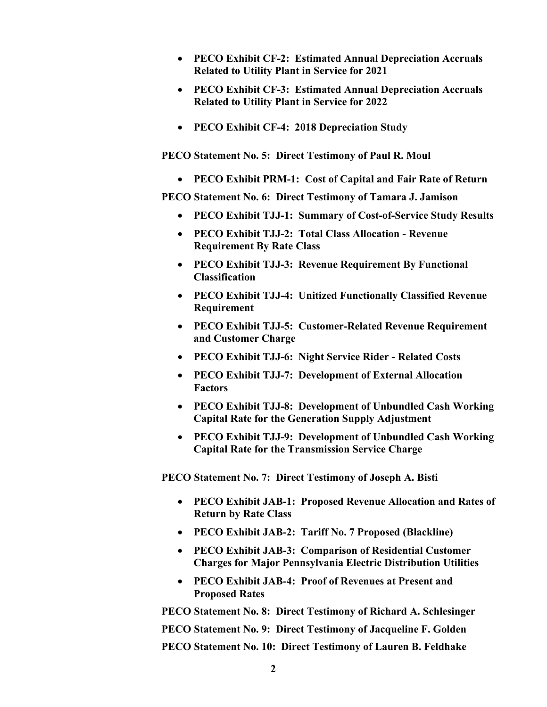- **PECO Exhibit CF-2: Estimated Annual Depreciation Accruals Related to Utility Plant in Service for 2021**
- **PECO Exhibit CF-3: Estimated Annual Depreciation Accruals Related to Utility Plant in Service for 2022**
- **PECO Exhibit CF-4: 2018 Depreciation Study**

**PECO Statement No. 5: Direct Testimony of Paul R. Moul** 

**PECO Exhibit PRM-1: Cost of Capital and Fair Rate of Return** 

**PECO Statement No. 6: Direct Testimony of Tamara J. Jamison** 

- **PECO Exhibit TJJ-1: Summary of Cost-of-Service Study Results**
- **PECO Exhibit TJJ-2: Total Class Allocation Revenue Requirement By Rate Class**
- **PECO Exhibit TJJ-3: Revenue Requirement By Functional Classification**
- **PECO Exhibit TJJ-4: Unitized Functionally Classified Revenue Requirement**
- **PECO Exhibit TJJ-5: Customer-Related Revenue Requirement and Customer Charge**
- **PECO Exhibit TJJ-6: Night Service Rider Related Costs**
- **PECO Exhibit TJJ-7: Development of External Allocation Factors**
- **PECO Exhibit TJJ-8: Development of Unbundled Cash Working Capital Rate for the Generation Supply Adjustment**
- **PECO Exhibit TJJ-9: Development of Unbundled Cash Working Capital Rate for the Transmission Service Charge**

**PECO Statement No. 7: Direct Testimony of Joseph A. Bisti** 

- **PECO Exhibit JAB-1: Proposed Revenue Allocation and Rates of Return by Rate Class**
- **PECO Exhibit JAB-2: Tariff No. 7 Proposed (Blackline)**
- **PECO Exhibit JAB-3: Comparison of Residential Customer Charges for Major Pennsylvania Electric Distribution Utilities**
- **PECO Exhibit JAB-4: Proof of Revenues at Present and Proposed Rates**

**PECO Statement No. 8: Direct Testimony of Richard A. Schlesinger PECO Statement No. 9: Direct Testimony of Jacqueline F. Golden PECO Statement No. 10: Direct Testimony of Lauren B. Feldhake**